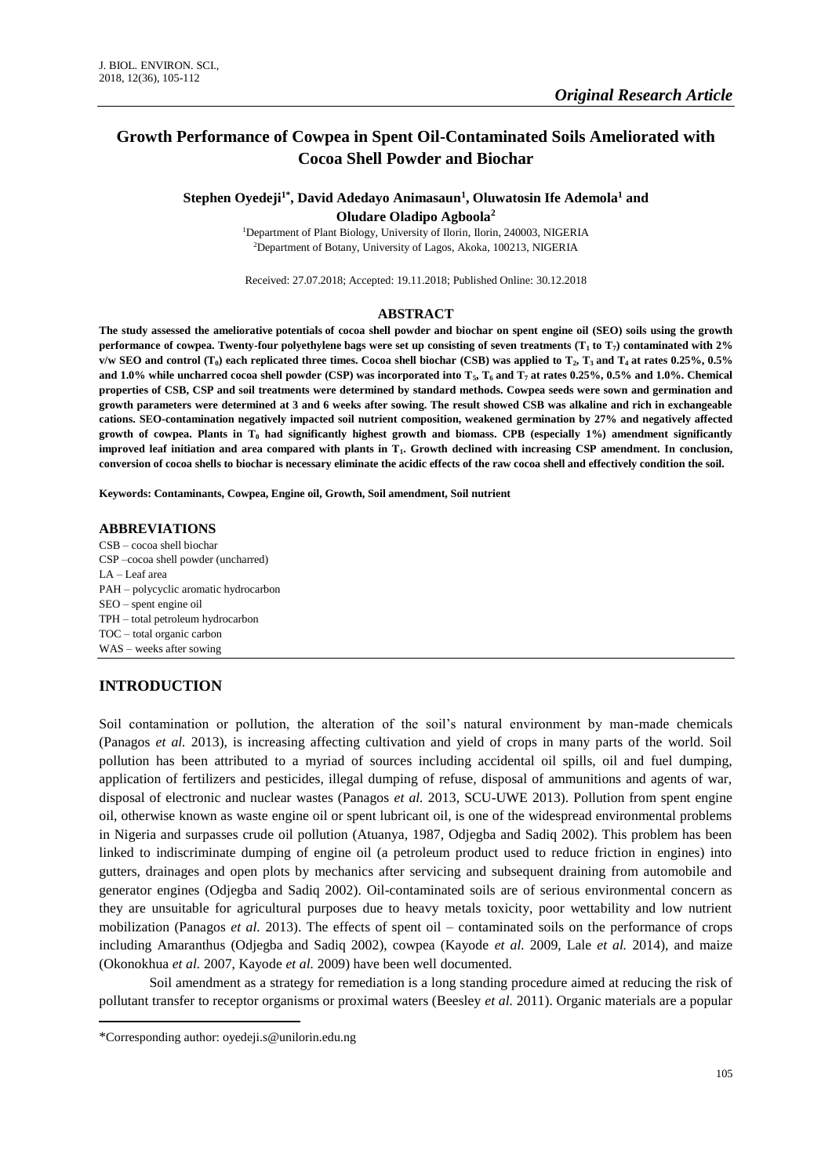# **Growth Performance of Cowpea in Spent Oil-Contaminated Soils Ameliorated with Cocoa Shell Powder and Biochar**

# **Stephen Oyedeji1\* , David Adedayo Animasaun<sup>1</sup> , Oluwatosin Ife Ademola<sup>1</sup> and Oludare Oladipo Agboola<sup>2</sup>**

<sup>1</sup>Department of Plant Biology, University of Ilorin, Ilorin, 240003, NIGERIA <sup>2</sup>Department of Botany, University of Lagos, Akoka, 100213, NIGERIA

Received: 27.07.2018; Accepted: 19.11.2018; Published Online: 30.12.2018

#### **ABSTRACT**

**The study assessed the ameliorative potentials of cocoa shell powder and biochar on spent engine oil (SEO) soils using the growth performance of cowpea. Twenty-four polyethylene bags were set up consisting of seven treatments (T<sup>1</sup> to T7) contaminated with 2% v/w SEO and control (T<sub>0</sub>) each replicated three times. Cocoa shell biochar (CSB) was applied to**  $T_2$ **,**  $T_3$  **and**  $T_4$  **at rates 0.25%, 0.5% and 1.0% while uncharred cocoa shell powder (CSP) was incorporated into T5, T<sup>6</sup> and T<sup>7</sup> at rates 0.25%, 0.5% and 1.0%. Chemical properties of CSB, CSP and soil treatments were determined by standard methods. Cowpea seeds were sown and germination and growth parameters were determined at 3 and 6 weeks after sowing. The result showed CSB was alkaline and rich in exchangeable cations. SEO-contamination negatively impacted soil nutrient composition, weakened germination by 27% and negatively affected growth of cowpea. Plants in T<sup>0</sup> had significantly highest growth and biomass. CPB (especially 1%) amendment significantly improved leaf initiation and area compared with plants in T1. Growth declined with increasing CSP amendment. In conclusion, conversion of cocoa shells to biochar is necessary eliminate the acidic effects of the raw cocoa shell and effectively condition the soil.**

**Keywords: Contaminants, Cowpea, Engine oil, Growth, Soil amendment, Soil nutrient**

#### **ABBREVIATIONS**

CSB – cocoa shell biochar CSP –cocoa shell powder (uncharred) LA – Leaf area PAH – polycyclic aromatic hydrocarbon SEO – spent engine oil TPH – total petroleum hydrocarbon TOC – total organic carbon WAS – weeks after sowing

## **INTRODUCTION**

 $\overline{\phantom{a}}$ 

Soil contamination or pollution, the alteration of the soil's natural environment by man-made chemicals (Panagos *et al.* 2013), is increasing affecting cultivation and yield of crops in many parts of the world. Soil pollution has been attributed to a myriad of sources including accidental oil spills, oil and fuel dumping, application of fertilizers and pesticides, illegal dumping of refuse, disposal of ammunitions and agents of war, disposal of electronic and nuclear wastes (Panagos *et al.* 2013, SCU-UWE 2013). Pollution from spent engine oil, otherwise known as waste engine oil or spent lubricant oil, is one of the widespread environmental problems in Nigeria and surpasses crude oil pollution (Atuanya, 1987, Odjegba and Sadiq 2002). This problem has been linked to indiscriminate dumping of engine oil (a petroleum product used to reduce friction in engines) into gutters, drainages and open plots by mechanics after servicing and subsequent draining from automobile and generator engines (Odjegba and Sadiq 2002). Oil-contaminated soils are of serious environmental concern as they are unsuitable for agricultural purposes due to heavy metals toxicity, poor wettability and low nutrient mobilization (Panagos *et al.* 2013). The effects of spent oil – contaminated soils on the performance of crops including Amaranthus (Odjegba and Sadiq 2002), cowpea (Kayode *et al.* 2009, Lale *et al.* 2014), and maize (Okonokhua *et al.* 2007, Kayode *et al.* 2009) have been well documented.

Soil amendment as a strategy for remediation is a long standing procedure aimed at reducing the risk of pollutant transfer to receptor organisms or proximal waters (Beesley *et al.* 2011). Organic materials are a popular

<sup>\*</sup>Corresponding author: oyedeji.s@unilorin.edu.ng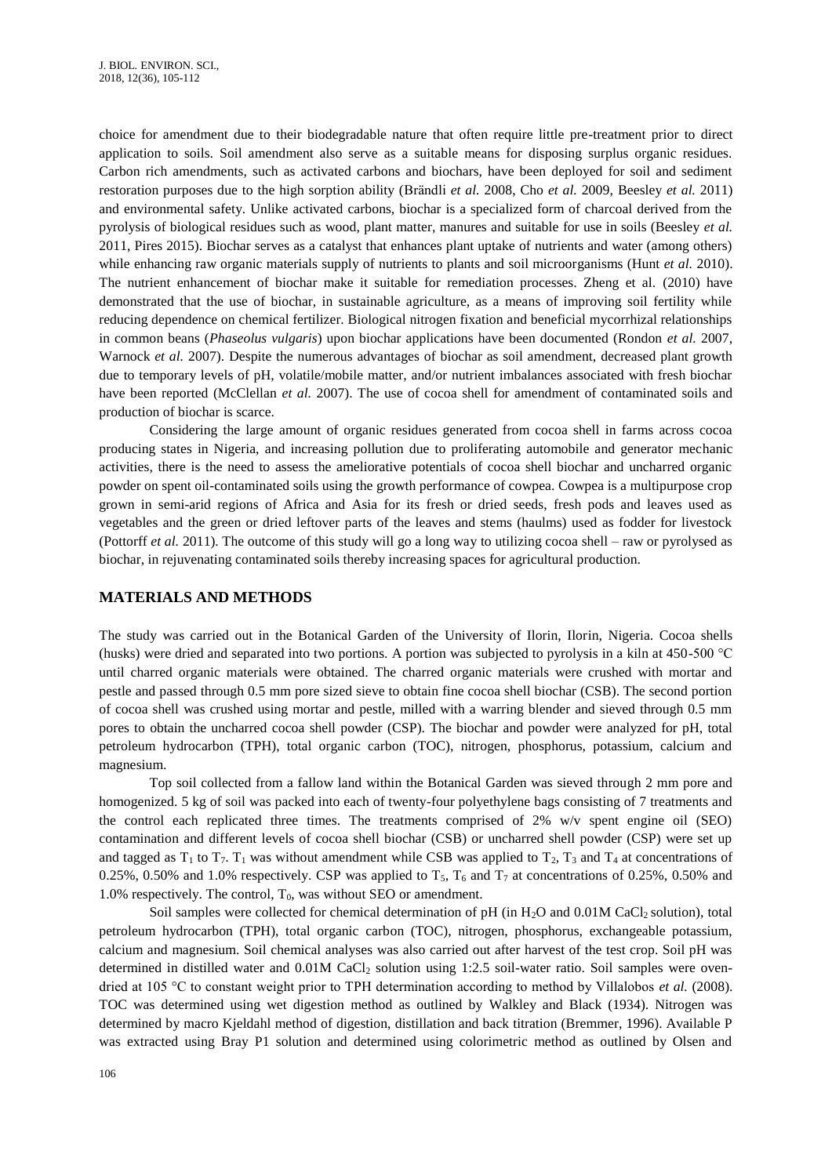choice for amendment due to their biodegradable nature that often require little pre-treatment prior to direct application to soils. Soil amendment also serve as a suitable means for disposing surplus organic residues. Carbon rich amendments, such as activated carbons and biochars, have been deployed for soil and sediment restoration purposes due to the high sorption ability (Brändli *et al.* 2008, Cho *et al.* 2009, Beesley *et al.* 2011) and environmental safety. Unlike activated carbons, biochar is a specialized form of charcoal derived from the pyrolysis of biological residues such as wood, plant matter, manures and suitable for use in soils (Beesley *et al.* 2011, Pires 2015). Biochar serves as a catalyst that enhances plant uptake of nutrients and water (among others) while enhancing raw organic materials supply of nutrients to plants and soil microorganisms (Hunt *et al.* 2010). The nutrient enhancement of biochar make it suitable for remediation processes. Zheng et al*.* (2010) have demonstrated that the use of biochar, in sustainable agriculture, as a means of improving soil fertility while reducing dependence on chemical fertilizer. Biological nitrogen fixation and beneficial mycorrhizal relationships in common beans (*Phaseolus vulgaris*) upon biochar applications have been documented (Rondon *et al.* 2007, Warnock *et al.* 2007). Despite the numerous advantages of biochar as soil amendment, decreased plant growth due to temporary levels of pH, volatile/mobile matter, and/or nutrient imbalances associated with fresh biochar have been reported (McClellan *et al.* 2007). The use of cocoa shell for amendment of contaminated soils and production of biochar is scarce.

Considering the large amount of organic residues generated from cocoa shell in farms across cocoa producing states in Nigeria, and increasing pollution due to proliferating automobile and generator mechanic activities, there is the need to assess the ameliorative potentials of cocoa shell biochar and uncharred organic powder on spent oil-contaminated soils using the growth performance of cowpea. Cowpea is a multipurpose crop grown in semi-arid regions of Africa and Asia for its fresh or dried seeds, fresh pods and leaves used as vegetables and the green or dried leftover parts of the leaves and stems (haulms) used as fodder for livestock (Pottorff *et al.* 2011). The outcome of this study will go a long way to utilizing cocoa shell – raw or pyrolysed as biochar, in rejuvenating contaminated soils thereby increasing spaces for agricultural production.

#### **MATERIALS AND METHODS**

The study was carried out in the Botanical Garden of the University of Ilorin, Ilorin, Nigeria. Cocoa shells (husks) were dried and separated into two portions. A portion was subjected to pyrolysis in a kiln at 450-500 °C until charred organic materials were obtained. The charred organic materials were crushed with mortar and pestle and passed through 0.5 mm pore sized sieve to obtain fine cocoa shell biochar (CSB). The second portion of cocoa shell was crushed using mortar and pestle, milled with a warring blender and sieved through 0.5 mm pores to obtain the uncharred cocoa shell powder (CSP). The biochar and powder were analyzed for pH, total petroleum hydrocarbon (TPH), total organic carbon (TOC), nitrogen, phosphorus, potassium, calcium and magnesium.

Top soil collected from a fallow land within the Botanical Garden was sieved through 2 mm pore and homogenized. 5 kg of soil was packed into each of twenty-four polyethylene bags consisting of 7 treatments and the control each replicated three times. The treatments comprised of 2% w/v spent engine oil (SEO) contamination and different levels of cocoa shell biochar (CSB) or uncharred shell powder (CSP) were set up and tagged as  $T_1$  to  $T_7$ .  $T_1$  was without amendment while CSB was applied to  $T_2$ ,  $T_3$  and  $T_4$  at concentrations of 0.25%, 0.50% and 1.0% respectively. CSP was applied to  $T_5$ ,  $T_6$  and  $T_7$  at concentrations of 0.25%, 0.50% and 1.0% respectively. The control,  $T_0$ , was without SEO or amendment.

Soil samples were collected for chemical determination of  $pH$  (in  $H_2O$  and 0.01M CaCl<sub>2</sub> solution), total petroleum hydrocarbon (TPH), total organic carbon (TOC), nitrogen, phosphorus, exchangeable potassium, calcium and magnesium. Soil chemical analyses was also carried out after harvest of the test crop. Soil pH was determined in distilled water and 0.01M CaCl<sub>2</sub> solution using 1:2.5 soil-water ratio. Soil samples were ovendried at 105 °C to constant weight prior to TPH determination according to method by Villalobos *et al.* (2008). TOC was determined using wet digestion method as outlined by Walkley and Black (1934). Nitrogen was determined by macro Kjeldahl method of digestion, distillation and back titration (Bremmer, 1996). Available P was extracted using Bray P1 solution and determined using colorimetric method as outlined by Olsen and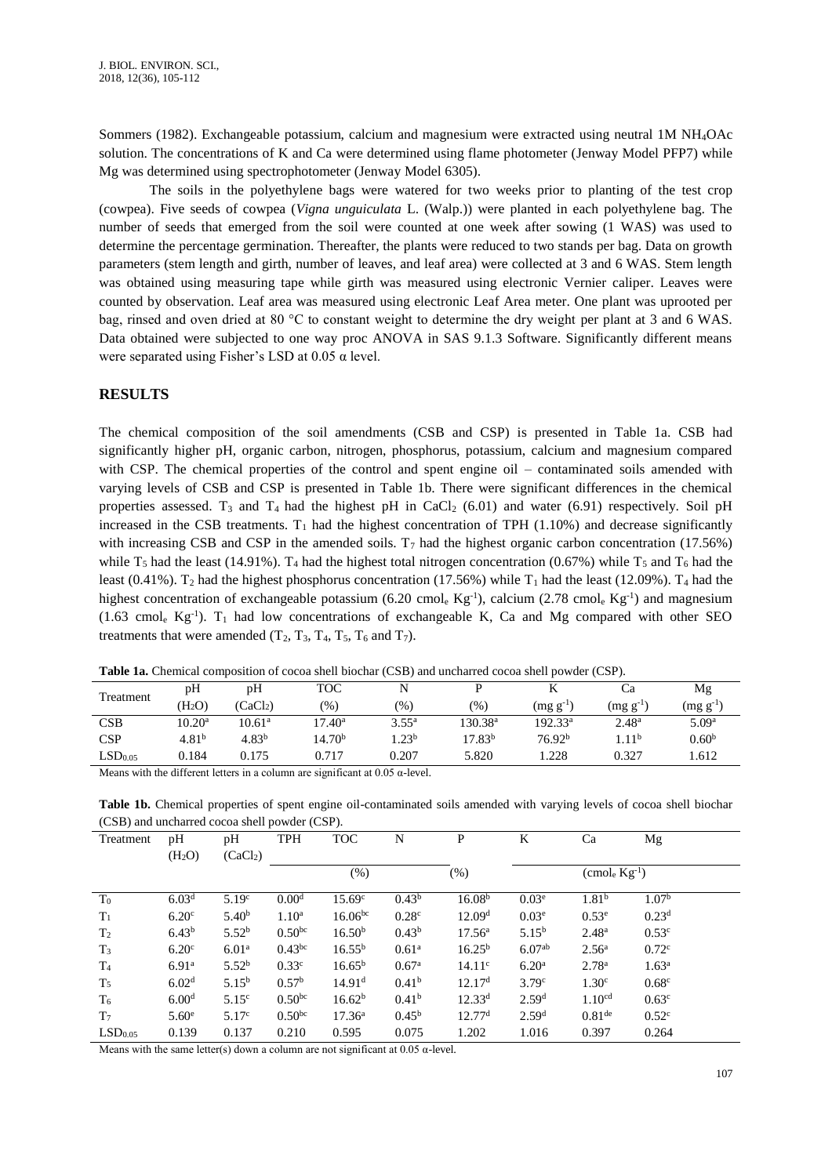Sommers (1982). Exchangeable potassium, calcium and magnesium were extracted using neutral 1M NH4OAc solution. The concentrations of K and Ca were determined using flame photometer (Jenway Model PFP7) while Mg was determined using spectrophotometer (Jenway Model 6305).

The soils in the polyethylene bags were watered for two weeks prior to planting of the test crop (cowpea). Five seeds of cowpea (*Vigna unguiculata* L. (Walp.)) were planted in each polyethylene bag. The number of seeds that emerged from the soil were counted at one week after sowing (1 WAS) was used to determine the percentage germination. Thereafter, the plants were reduced to two stands per bag. Data on growth parameters (stem length and girth, number of leaves, and leaf area) were collected at 3 and 6 WAS. Stem length was obtained using measuring tape while girth was measured using electronic Vernier caliper. Leaves were counted by observation. Leaf area was measured using electronic Leaf Area meter. One plant was uprooted per bag, rinsed and oven dried at 80 °C to constant weight to determine the dry weight per plant at 3 and 6 WAS. Data obtained were subjected to one way proc ANOVA in SAS 9.1.3 Software. Significantly different means were separated using Fisher's LSD at  $0.05 \alpha$  level.

# **RESULTS**

The chemical composition of the soil amendments (CSB and CSP) is presented in Table 1a. CSB had significantly higher pH, organic carbon, nitrogen, phosphorus, potassium, calcium and magnesium compared with CSP. The chemical properties of the control and spent engine oil – contaminated soils amended with varying levels of CSB and CSP is presented in Table 1b. There were significant differences in the chemical properties assessed. T<sub>3</sub> and T<sub>4</sub> had the highest pH in CaCl<sub>2</sub> (6.01) and water (6.91) respectively. Soil pH increased in the CSB treatments.  $T_1$  had the highest concentration of TPH (1.10%) and decrease significantly with increasing CSB and CSP in the amended soils.  $T_7$  had the highest organic carbon concentration (17.56%) while  $T_5$  had the least (14.91%).  $T_4$  had the highest total nitrogen concentration (0.67%) while  $T_5$  and  $T_6$  had the least (0.41%). T<sub>2</sub> had the highest phosphorus concentration (17.56%) while T<sub>1</sub> had the least (12.09%). T<sub>4</sub> had the highest concentration of exchangeable potassium (6.20 cmol. Kg<sup>-1</sup>), calcium (2.78 cmol. Kg<sup>-1</sup>) and magnesium  $(1.63 \text{ cmol}_e \text{Kg}^{-1})$ . T<sub>1</sub> had low concentrations of exchangeable K, Ca and Mg compared with other SEO treatments that were amended  $(T_2, T_3, T_4, T_5, T_6 \text{ and } T_7)$ .

| THORE THE CHEMICAL SOMEONIAL OF SOSOW DIELE CLOSING (COD, MILE MILEIRES SOSOW DIELE POTTGER (COF) |                    |                      |                    |                  |                    |                    |                   |                       |  |  |
|---------------------------------------------------------------------------------------------------|--------------------|----------------------|--------------------|------------------|--------------------|--------------------|-------------------|-----------------------|--|--|
| Treatment                                                                                         | pH                 | pH                   | <b>TOC</b>         |                  |                    |                    | Ċа                | Mg                    |  |  |
|                                                                                                   | (H <sub>2</sub> O) | (CaCl <sub>2</sub> ) | $(\%)$             | (%)              | $(\% )$            | $(mg g^{-1})$      | $(mg g^{-1})$     | $\text{ (mg g}^{-1)}$ |  |  |
| CSB                                                                                               | 10.20 <sup>a</sup> | $10.61^{\rm a}$      | $17.40^{\rm a}$    | $3.55^{\rm a}$   | $130.38^{\rm a}$   | $192.33^a$         | $2.48^{\rm a}$    | 5.09 <sup>a</sup>     |  |  |
| <b>CSP</b>                                                                                        | 4.81 <sup>b</sup>  | 4.83 <sup>b</sup>    | 14.70 <sup>b</sup> | .23 <sup>b</sup> | 17.83 <sup>b</sup> | 76.92 <sup>b</sup> | 1.11 <sup>b</sup> | 0.60 <sup>b</sup>     |  |  |
| LSD <sub>0.05</sub>                                                                               | 0.184              | 0.175                | 0.717              | 0.207            | 5.820              | .228               | 0.327             | 1.612                 |  |  |
|                                                                                                   |                    |                      |                    |                  |                    |                    |                   |                       |  |  |

**Table 1a.** Chemical composition of cocoa shell biochar (CSB) and uncharred cocoa shell powder (CSP).

Means with the different letters in a column are significant at  $0.05 \alpha$ -level.

**Table 1b.** Chemical properties of spent engine oil-contaminated soils amended with varying levels of cocoa shell biochar (CSB) and uncharred cocoa shell powder (CSP).

| Treatment           | pH<br>(H <sub>2</sub> O) | pH<br>(CaCl <sub>2</sub> ) | <b>TPH</b>         | <b>TOC</b>         | N                 | $\mathbf{P}$       | K                        | Ca                   | Mg                |  |
|---------------------|--------------------------|----------------------------|--------------------|--------------------|-------------------|--------------------|--------------------------|----------------------|-------------------|--|
|                     |                          |                            |                    | $(\%)$             |                   | $(\% )$            | $(\text{cmole Kg}^{-1})$ |                      |                   |  |
| $T_0$               | 6.03 <sup>d</sup>        | 5.19 <sup>c</sup>          | 0.00 <sup>d</sup>  | 15.69 <sup>c</sup> | 0.43 <sup>b</sup> | 16.08 <sup>b</sup> | 0.03 <sup>e</sup>        | 1.81 <sup>b</sup>    | 1.07 <sup>b</sup> |  |
| $T_1$               | 6.20 <sup>c</sup>        | 5.40 <sup>b</sup>          | 1.10 <sup>a</sup>  | $16.06^{bc}$       | 0.28 <sup>c</sup> | 12.09 <sup>d</sup> | 0.03 <sup>e</sup>        | 0.53 <sup>e</sup>    | 0.23 <sup>d</sup> |  |
| T <sub>2</sub>      | 6.43 <sup>b</sup>        | 5.52 <sup>b</sup>          | 0.50 <sup>bc</sup> | 16.50 <sup>b</sup> | 0.43 <sup>b</sup> | $17.56^{\rm a}$    | $5.15^{b}$               | 2.48 <sup>a</sup>    | 0.53 <sup>c</sup> |  |
| $T_3$               | 6.20 <sup>c</sup>        | 6.01 <sup>a</sup>          | $0.43^{bc}$        | $16.55^{b}$        | 0.61 <sup>a</sup> | $16.25^{b}$        | 6.07 <sup>ab</sup>       | 2.56 <sup>a</sup>    | 0.72 <sup>c</sup> |  |
| T <sub>4</sub>      | 6.91 <sup>a</sup>        | 5.52 <sup>b</sup>          | 0.33 <sup>c</sup>  | $16.65^{\rm b}$    | 0.67 <sup>a</sup> | 14.11 <sup>c</sup> | 6.20 <sup>a</sup>        | 2.78 <sup>a</sup>    | 1.63 <sup>a</sup> |  |
| T <sub>5</sub>      | 6.02 <sup>d</sup>        | $5.15^{b}$                 | 0.57 <sup>b</sup>  | 14.91 <sup>d</sup> | 0.41 <sup>b</sup> | 12.17 <sup>d</sup> | 3.79 <sup>c</sup>        | 1.30 <sup>c</sup>    | 0.68 <sup>c</sup> |  |
| $T_6$               | 6.00 <sup>d</sup>        | 5.15 <sup>c</sup>          | 0.50 <sup>bc</sup> | 16.62 <sup>b</sup> | 0.41 <sup>b</sup> | $12.33^{d}$        | 2.59 <sup>d</sup>        | 1.10 <sup>cd</sup>   | 0.63 <sup>c</sup> |  |
| T <sub>7</sub>      | 5.60 <sup>e</sup>        | 5.17 <sup>c</sup>          | 0.50 <sup>bc</sup> | 17.36 <sup>a</sup> | $0.45^{\rm b}$    | 12.77 <sup>d</sup> | 2.59 <sup>d</sup>        | $0.81$ <sup>de</sup> | 0.52 <sup>c</sup> |  |
| LSD <sub>0.05</sub> | 0.139                    | 0.137                      | 0.210              | 0.595              | 0.075             | 1.202              | 1.016                    | 0.397                | 0.264             |  |

Means with the same letter(s) down a column are not significant at 0.05  $\alpha$ -level.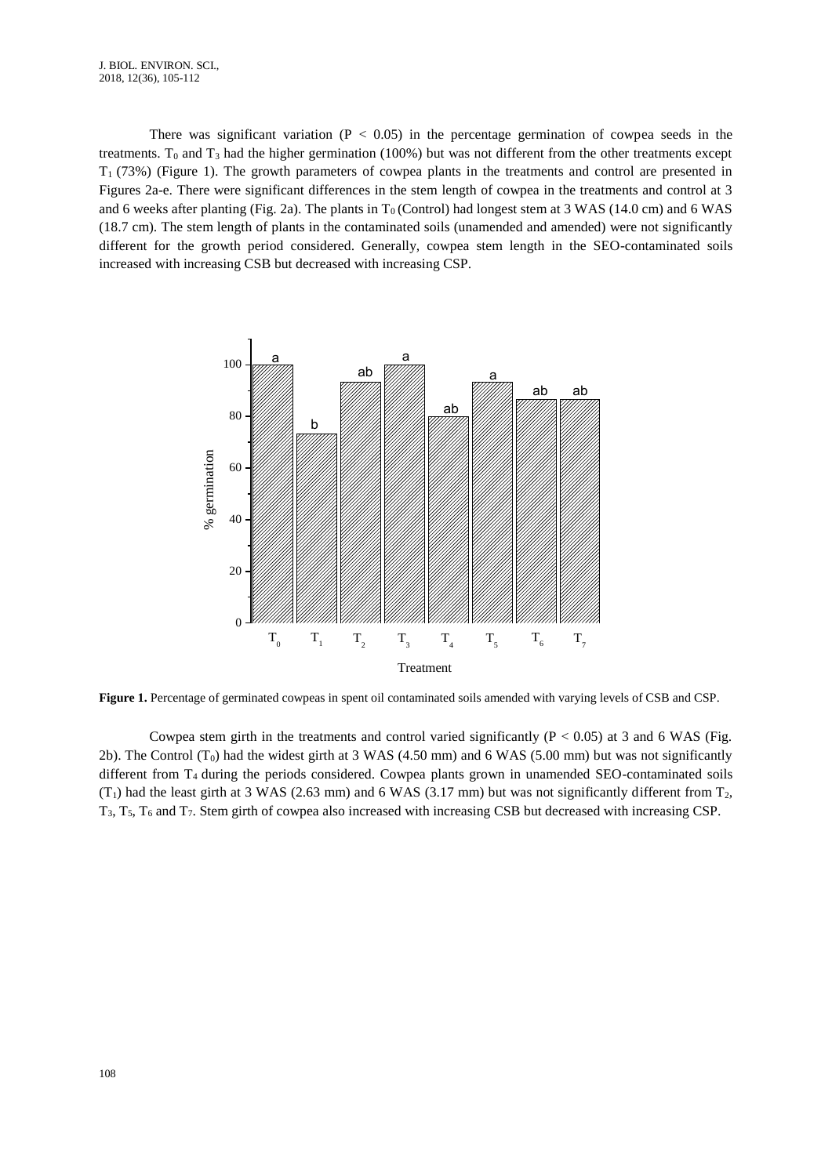There was significant variation ( $P < 0.05$ ) in the percentage germination of cowpea seeds in the treatments.  $T_0$  and  $T_3$  had the higher germination (100%) but was not different from the other treatments except T1 (73%) (Figure 1). The growth parameters of cowpea plants in the treatments and control are presented in Figures 2a-e. There were significant differences in the stem length of cowpea in the treatments and control at 3 and 6 weeks after planting (Fig. 2a). The plants in  $T_0$  (Control) had longest stem at 3 WAS (14.0 cm) and 6 WAS (18.7 cm). The stem length of plants in the contaminated soils (unamended and amended) were not significantly different for the growth period considered. Generally, cowpea stem length in the SEO-contaminated soils increased with increasing CSB but decreased with increasing CSP.



**Figure 1.** Percentage of germinated cowpeas in spent oil contaminated soils amended with varying levels of CSB and CSP.

Cowpea stem girth in the treatments and control varied significantly  $(P < 0.05)$  at 3 and 6 WAS (Fig. 2b). The Control  $(T_0)$  had the widest girth at 3 WAS (4.50 mm) and 6 WAS (5.00 mm) but was not significantly different from T4 during the periods considered. Cowpea plants grown in unamended SEO-contaminated soils  $(T_1)$  had the least girth at 3 WAS (2.63 mm) and 6 WAS (3.17 mm) but was not significantly different from  $T_2$ , T3, T5, T<sup>6</sup> and T7. Stem girth of cowpea also increased with increasing CSB but decreased with increasing CSP.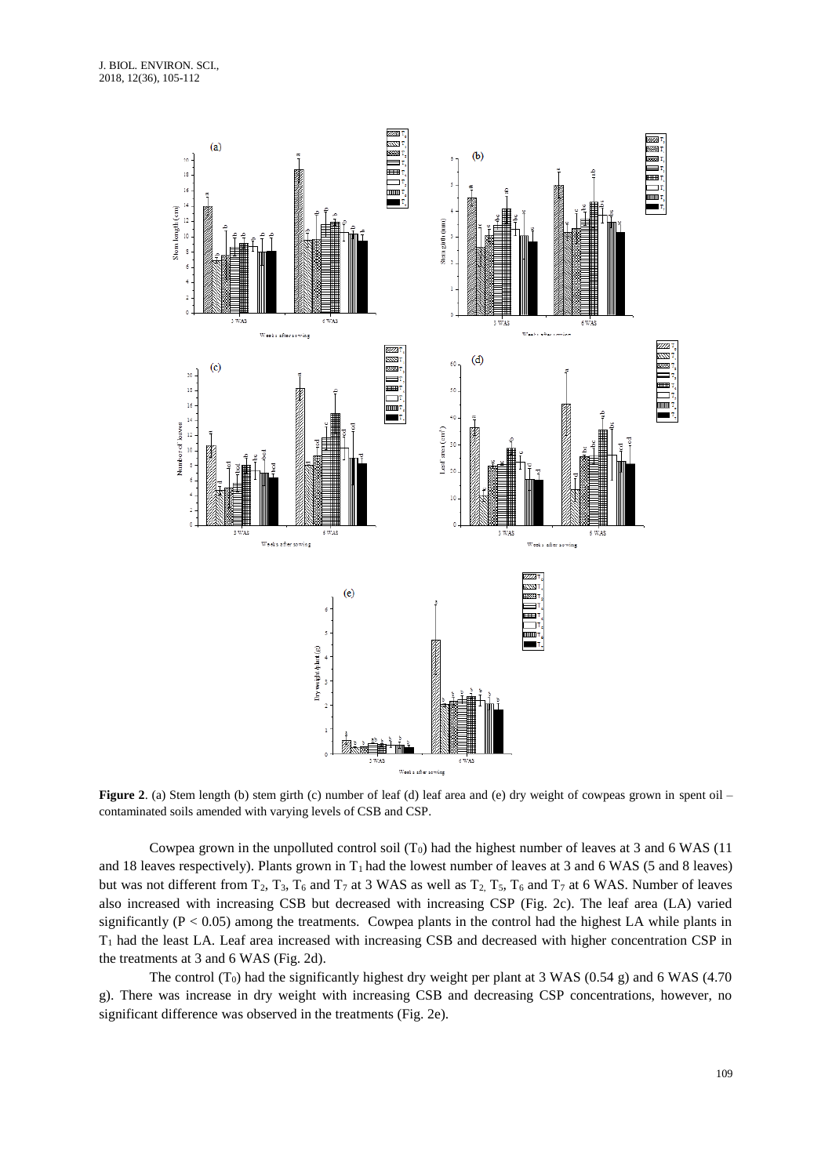

**Figure 2.** (a) Stem length (b) stem girth (c) number of leaf (d) leaf area and (e) dry weight of cowpeas grown in spent oil – contaminated soils amended with varying levels of CSB and CSP.

Cowpea grown in the unpolluted control soil  $(T_0)$  had the highest number of leaves at 3 and 6 WAS (11) and 18 leaves respectively). Plants grown in  $T_1$  had the lowest number of leaves at 3 and 6 WAS (5 and 8 leaves) but was not different from  $T_2$ ,  $T_3$ ,  $T_6$  and  $T_7$  at 3 WAS as well as  $T_2$ ,  $T_5$ ,  $T_6$  and  $T_7$  at 6 WAS. Number of leaves also increased with increasing CSB but decreased with increasing CSP (Fig. 2c). The leaf area (LA) varied significantly ( $P < 0.05$ ) among the treatments. Cowpea plants in the control had the highest LA while plants in T<sup>1</sup> had the least LA. Leaf area increased with increasing CSB and decreased with higher concentration CSP in the treatments at 3 and 6 WAS (Fig. 2d).

The control (T<sub>0</sub>) had the significantly highest dry weight per plant at 3 WAS (0.54 g) and 6 WAS (4.70 g). There was increase in dry weight with increasing CSB and decreasing CSP concentrations, however, no significant difference was observed in the treatments (Fig. 2e).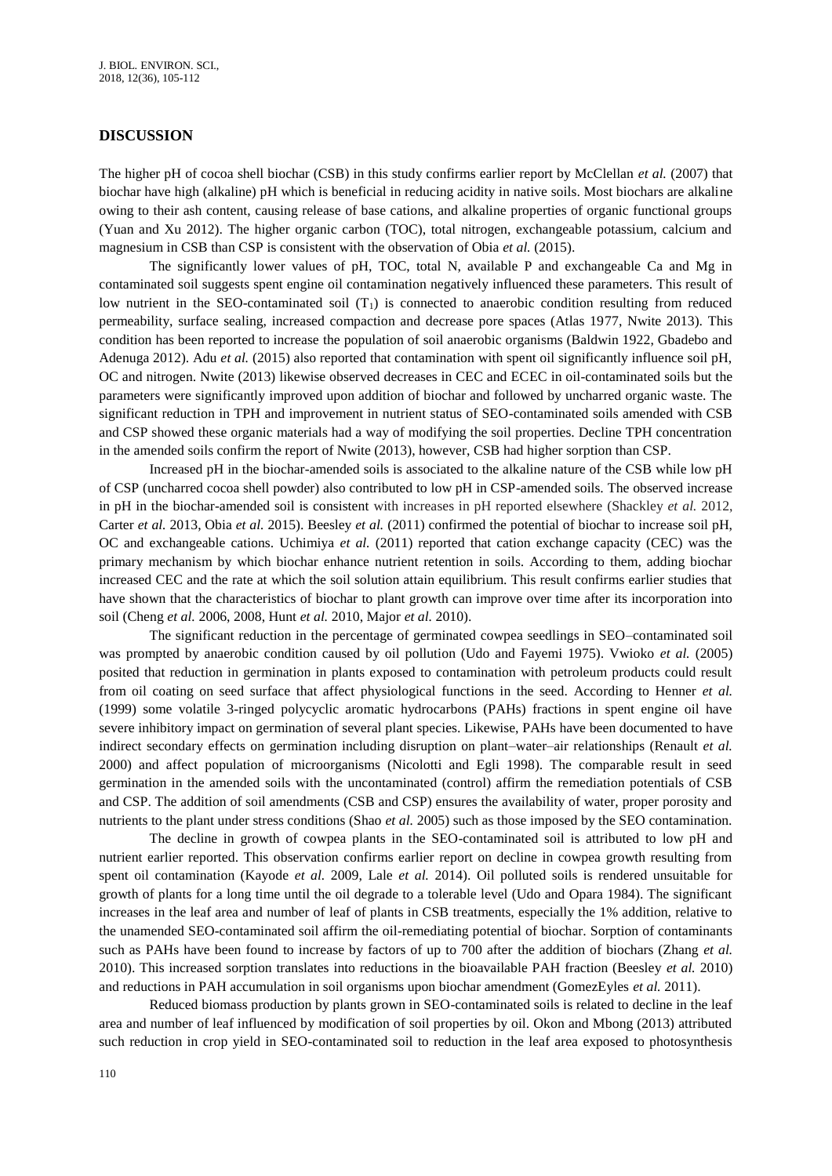## **DISCUSSION**

The higher pH of cocoa shell biochar (CSB) in this study confirms earlier report by McClellan *et al.* (2007) that biochar have high (alkaline) pH which is beneficial in reducing acidity in native soils. Most biochars are alkaline owing to their ash content, causing release of base cations, and alkaline properties of organic functional groups (Yuan and Xu 2012). The higher organic carbon (TOC), total nitrogen, exchangeable potassium, calcium and magnesium in CSB than CSP is consistent with the observation of Obia *et al.* (2015).

The significantly lower values of pH, TOC, total N, available P and exchangeable Ca and Mg in contaminated soil suggests spent engine oil contamination negatively influenced these parameters. This result of low nutrient in the SEO-contaminated soil  $(T_1)$  is connected to anaerobic condition resulting from reduced permeability, surface sealing, increased compaction and decrease pore spaces (Atlas 1977, Nwite 2013). This condition has been reported to increase the population of soil anaerobic organisms (Baldwin 1922, Gbadebo and Adenuga 2012). Adu *et al.* (2015) also reported that contamination with spent oil significantly influence soil pH, OC and nitrogen. Nwite (2013) likewise observed decreases in CEC and ECEC in oil-contaminated soils but the parameters were significantly improved upon addition of biochar and followed by uncharred organic waste. The significant reduction in TPH and improvement in nutrient status of SEO-contaminated soils amended with CSB and CSP showed these organic materials had a way of modifying the soil properties. Decline TPH concentration in the amended soils confirm the report of Nwite (2013), however, CSB had higher sorption than CSP.

Increased pH in the biochar-amended soils is associated to the alkaline nature of the CSB while low pH of CSP (uncharred cocoa shell powder) also contributed to low pH in CSP-amended soils. The observed increase in pH in the biochar-amended soil is consistent with increases in pH reported elsewhere (Shackley *et al.* 2012, Carter *et al.* 2013, Obia *et al.* 2015). Beesley *et al.* (2011) confirmed the potential of biochar to increase soil pH, OC and exchangeable cations. Uchimiya *et al.* (2011) reported that cation exchange capacity (CEC) was the primary mechanism by which biochar enhance nutrient retention in soils. According to them, adding biochar increased CEC and the rate at which the soil solution attain equilibrium. This result confirms earlier studies that have shown that the characteristics of biochar to plant growth can improve over time after its incorporation into soil (Cheng *et al.* 2006, 2008, Hunt *et al.* 2010, Major *et al.* 2010).

The significant reduction in the percentage of germinated cowpea seedlings in SEO–contaminated soil was prompted by anaerobic condition caused by oil pollution (Udo and Fayemi 1975). Vwioko *et al.* (2005) posited that reduction in germination in plants exposed to contamination with petroleum products could result from oil coating on seed surface that affect physiological functions in the seed. According to Henner *et al.* (1999) some volatile 3-ringed polycyclic aromatic hydrocarbons (PAHs) fractions in spent engine oil have severe inhibitory impact on germination of several plant species. Likewise, PAHs have been documented to have indirect secondary effects on germination including disruption on plant–water–air relationships (Renault *et al.* 2000) and affect population of microorganisms (Nicolotti and Egli 1998). The comparable result in seed germination in the amended soils with the uncontaminated (control) affirm the remediation potentials of CSB and CSP. The addition of soil amendments (CSB and CSP) ensures the availability of water, proper porosity and nutrients to the plant under stress conditions (Shao *et al.* 2005) such as those imposed by the SEO contamination.

The decline in growth of cowpea plants in the SEO-contaminated soil is attributed to low pH and nutrient earlier reported. This observation confirms earlier report on decline in cowpea growth resulting from spent oil contamination (Kayode *et al.* 2009, Lale *et al.* 2014). Oil polluted soils is rendered unsuitable for growth of plants for a long time until the oil degrade to a tolerable level (Udo and Opara 1984). The significant increases in the leaf area and number of leaf of plants in CSB treatments, especially the 1% addition, relative to the unamended SEO-contaminated soil affirm the oil-remediating potential of biochar. Sorption of contaminants such as PAHs have been found to increase by factors of up to 700 after the addition of biochars (Zhang *et al.*) 2010). This increased sorption translates into reductions in the bioavailable PAH fraction (Beesley *et al.* 2010) and reductions in PAH accumulation in soil organisms upon biochar amendment (GomezEyles *et al.* 2011).

Reduced biomass production by plants grown in SEO-contaminated soils is related to decline in the leaf area and number of leaf influenced by modification of soil properties by oil. Okon and Mbong (2013) attributed such reduction in crop yield in SEO-contaminated soil to reduction in the leaf area exposed to photosynthesis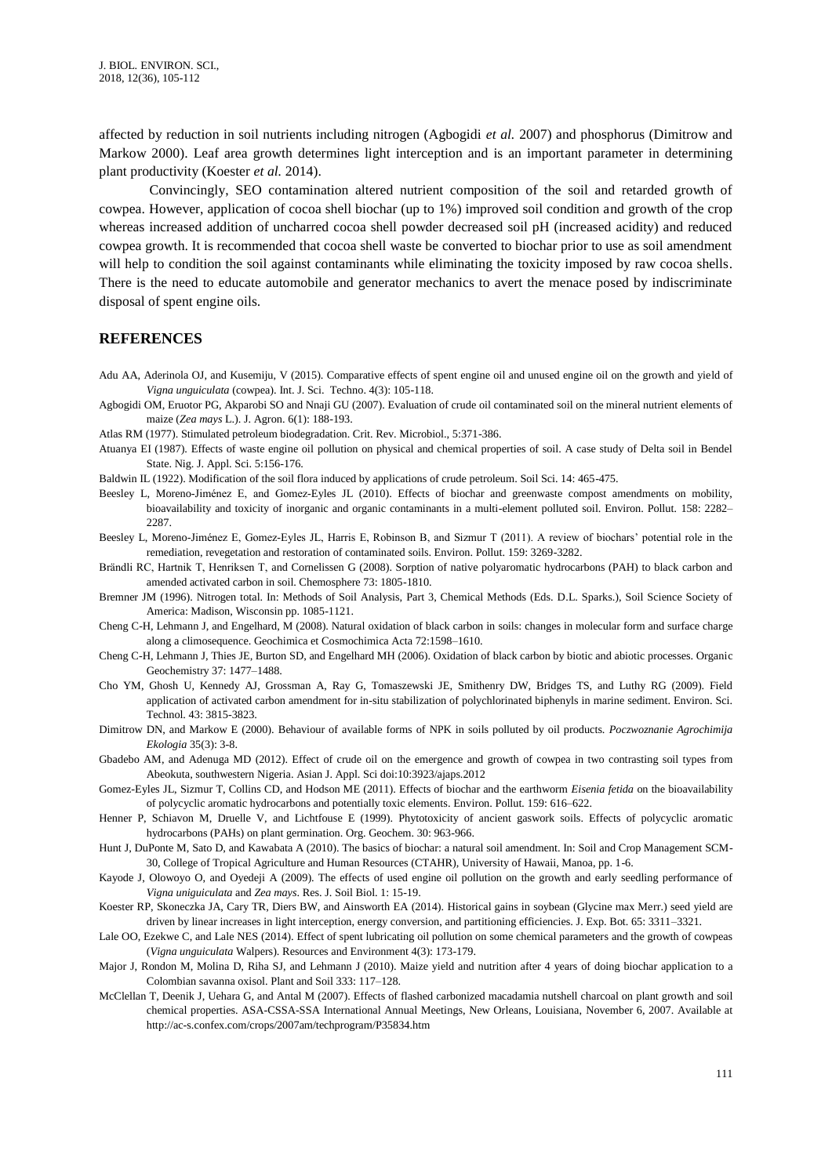affected by reduction in soil nutrients including nitrogen (Agbogidi *et al.* 2007) and phosphorus (Dimitrow and Markow 2000). Leaf area growth determines light interception and is an important parameter in determining plant productivity (Koester *et al.* 2014).

Convincingly, SEO contamination altered nutrient composition of the soil and retarded growth of cowpea. However, application of cocoa shell biochar (up to 1%) improved soil condition and growth of the crop whereas increased addition of uncharred cocoa shell powder decreased soil pH (increased acidity) and reduced cowpea growth. It is recommended that cocoa shell waste be converted to biochar prior to use as soil amendment will help to condition the soil against contaminants while eliminating the toxicity imposed by raw cocoa shells. There is the need to educate automobile and generator mechanics to avert the menace posed by indiscriminate disposal of spent engine oils.

#### **REFERENCES**

- Adu AA, Aderinola OJ, and Kusemiju, V (2015). Comparative effects of spent engine oil and unused engine oil on the growth and yield of *Vigna unguiculata* (cowpea). Int. J. Sci. Techno. 4(3): 105-118.
- Agbogidi OM, Eruotor PG, Akparobi SO and Nnaji GU (2007). Evaluation of crude oil contaminated soil on the mineral nutrient elements of maize (*Zea mays* L.). J. Agron. 6(1): 188-193.
- Atlas RM (1977). Stimulated petroleum biodegradation. Crit. Rev. Microbiol., 5:371-386.
- Atuanya EI (1987). Effects of waste engine oil pollution on physical and chemical properties of soil. A case study of Delta soil in Bendel State. Nig. J. Appl. Sci. 5:156-176.
- Baldwin IL (1922). Modification of the soil flora induced by applications of crude petroleum. Soil Sci. 14: 465-475.
- Beesley L, Moreno-Jiménez E, and Gomez-Eyles JL (2010). Effects of biochar and greenwaste compost amendments on mobility, bioavailability and toxicity of inorganic and organic contaminants in a multi-element polluted soil. Environ. Pollut*.* 158: 2282– 2287
- Beesley L, Moreno-Jiménez E, Gomez-Eyles JL, Harris E, Robinson B, and Sizmur T (2011). A review of biochars' potential role in the remediation, revegetation and restoration of contaminated soils. Environ. Pollut. 159: 3269-3282.
- Brändli RC, Hartnik T, Henriksen T, and Cornelissen G (2008). Sorption of native polyaromatic hydrocarbons (PAH) to black carbon and amended activated carbon in soil. Chemosphere 73: 1805-1810.
- Bremner JM (1996). Nitrogen total. In: Methods of Soil Analysis, Part 3, Chemical Methods (Eds. D.L. Sparks.), Soil Science Society of America: Madison, Wisconsin pp. 1085-1121.
- Cheng C-H, Lehmann J, and Engelhard, M (2008). Natural oxidation of black carbon in soils: changes in molecular form and surface charge along a climosequence. Geochimica et Cosmochimica Acta 72:1598–1610.
- Cheng C-H, Lehmann J, Thies JE, Burton SD, and Engelhard MH (2006). Oxidation of black carbon by biotic and abiotic processes. Organic Geochemistry 37: 1477–1488.
- Cho YM, Ghosh U, Kennedy AJ, Grossman A, Ray G, Tomaszewski JE, Smithenry DW, Bridges TS, and Luthy RG (2009). Field application of activated carbon amendment for in-situ stabilization of polychlorinated biphenyls in marine sediment. Environ. Sci. Technol. 43: 3815-3823.
- Dimitrow DN, and Markow E (2000). Behaviour of available forms of NPK in soils polluted by oil products. *Poczwoznanie Agrochimija Ekologia* 35(3): 3-8.
- Gbadebo AM, and Adenuga MD (2012). Effect of crude oil on the emergence and growth of cowpea in two contrasting soil types from Abeokuta, southwestern Nigeria. Asian J. Appl. Sci doi:10:3923/ajaps.2012
- Gomez-Eyles JL, Sizmur T, Collins CD, and Hodson ME (2011). Effects of biochar and the earthworm *Eisenia fetida* on the bioavailability of polycyclic aromatic hydrocarbons and potentially toxic elements. Environ. Pollut*.* 159: 616–622.
- Henner P, Schiavon M, Druelle V, and Lichtfouse E (1999). Phytotoxicity of ancient gaswork soils. Effects of polycyclic aromatic hydrocarbons (PAHs) on plant germination. Org. Geochem. 30: 963-966.
- Hunt J, DuPonte M, Sato D, and Kawabata A (2010). The basics of biochar: a natural soil amendment. In: Soil and Crop Management SCM-30, College of Tropical Agriculture and Human Resources (CTAHR), University of Hawaii, Manoa, pp. 1-6.
- Kayode J, Olowoyo O, and Oyedeji A (2009). The effects of used engine oil pollution on the growth and early seedling performance of *Vigna uniguiculata* and *Zea mays*. Res. J. Soil Biol. 1: 15-19.
- Koester RP, Skoneczka JA, Cary TR, Diers BW, and Ainsworth EA (2014). Historical gains in soybean (Glycine max Merr.) seed yield are driven by linear increases in light interception, energy conversion, and partitioning efficiencies. J. Exp. Bot. 65: 3311–3321.
- Lale OO, Ezekwe C, and Lale NES (2014). Effect of spent lubricating oil pollution on some chemical parameters and the growth of cowpeas (*Vigna unguiculata* Walpers). Resources and Environment 4(3): 173-179.
- Major J, Rondon M, Molina D, Riha SJ, and Lehmann J (2010). Maize yield and nutrition after 4 years of doing biochar application to a Colombian savanna oxisol. Plant and Soil 333: 117–128.
- McClellan T, Deenik J, Uehara G, and Antal M (2007). Effects of flashed carbonized macadamia nutshell charcoal on plant growth and soil chemical properties. ASA-CSSA-SSA International Annual Meetings, New Orleans, Louisiana, November 6, 2007. Available at http://ac-s.confex.com/crops/2007am/techprogram/P35834.htm